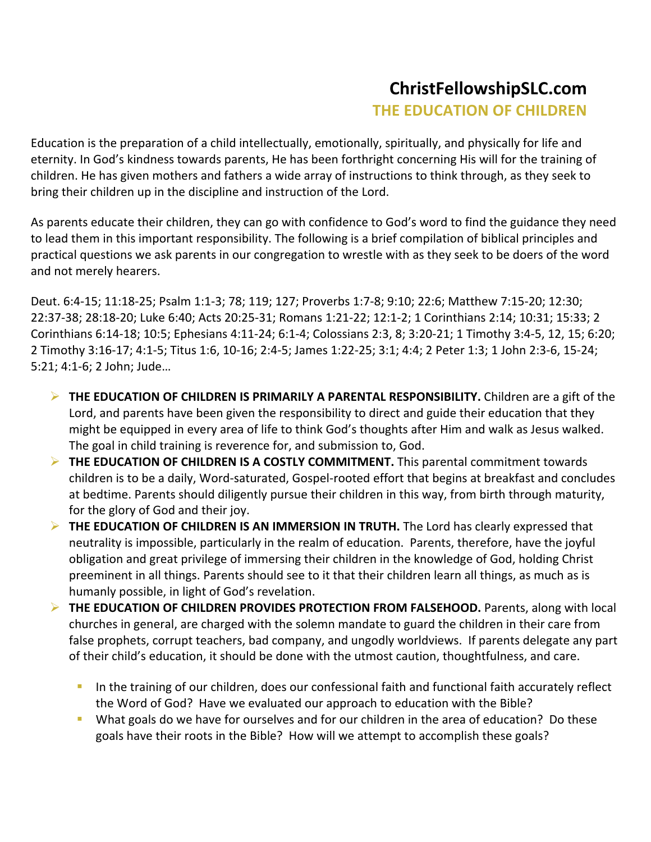## **ChristFellowshipSLC.com THE EDUCATION OF CHILDREN**

Education is the preparation of a child intellectually, emotionally, spiritually, and physically for life and eternity. In God's kindness towards parents, He has been forthright concerning His will for the training of children. He has given mothers and fathers a wide array of instructions to think through, as they seek to bring their children up in the discipline and instruction of the Lord.

As parents educate their children, they can go with confidence to God's word to find the guidance they need to lead them in this important responsibility. The following is a brief compilation of biblical principles and practical questions we ask parents in our congregation to wrestle with as they seek to be doers of the word and not merely hearers.

Deut. 6:4-15; 11:18-25; Psalm 1:1-3; 78; 119; 127; Proverbs 1:7-8; 9:10; 22:6; Matthew 7:15-20; 12:30; 22:37-38; 28:18-20; Luke 6:40; Acts 20:25-31; Romans 1:21-22; 12:1-2; 1 Corinthians 2:14; 10:31; 15:33; 2 Corinthians 6:14-18; 10:5; Ephesians 4:11-24; 6:1-4; Colossians 2:3, 8; 3:20-21; 1 Timothy 3:4-5, 12, 15; 6:20; 2 Timothy 3:16-17; 4:1-5; Titus 1:6, 10-16; 2:4-5; James 1:22-25; 3:1; 4:4; 2 Peter 1:3; 1 John 2:3-6, 15-24; 5:21; 4:1-6; 2 John; Jude...

- THE EDUCATION OF CHILDREN IS PRIMARILY A PARENTAL RESPONSIBILITY. Children are a gift of the Lord, and parents have been given the responsibility to direct and guide their education that they might be equipped in every area of life to think God's thoughts after Him and walk as Jesus walked. The goal in child training is reverence for, and submission to, God.
- THE EDUCATION OF CHILDREN IS A COSTLY COMMITMENT. This parental commitment towards children is to be a daily, Word-saturated, Gospel-rooted effort that begins at breakfast and concludes at bedtime. Parents should diligently pursue their children in this way, from birth through maturity, for the glory of God and their joy.
- **EXECTED THE EDUCATION OF CHILDREN IS AN IMMERSION IN TRUTH.** The Lord has clearly expressed that neutrality is impossible, particularly in the realm of education. Parents, therefore, have the joyful obligation and great privilege of immersing their children in the knowledge of God, holding Christ preeminent in all things. Parents should see to it that their children learn all things, as much as is humanly possible, in light of God's revelation.
- THE EDUCATION OF CHILDREN PROVIDES PROTECTION FROM FALSEHOOD. Parents, along with local churches in general, are charged with the solemn mandate to guard the children in their care from false prophets, corrupt teachers, bad company, and ungodly worldviews. If parents delegate any part of their child's education, it should be done with the utmost caution, thoughtfulness, and care.
	- " In the training of our children, does our confessional faith and functional faith accurately reflect the Word of God? Have we evaluated our approach to education with the Bible?
	- " What goals do we have for ourselves and for our children in the area of education? Do these goals have their roots in the Bible? How will we attempt to accomplish these goals?